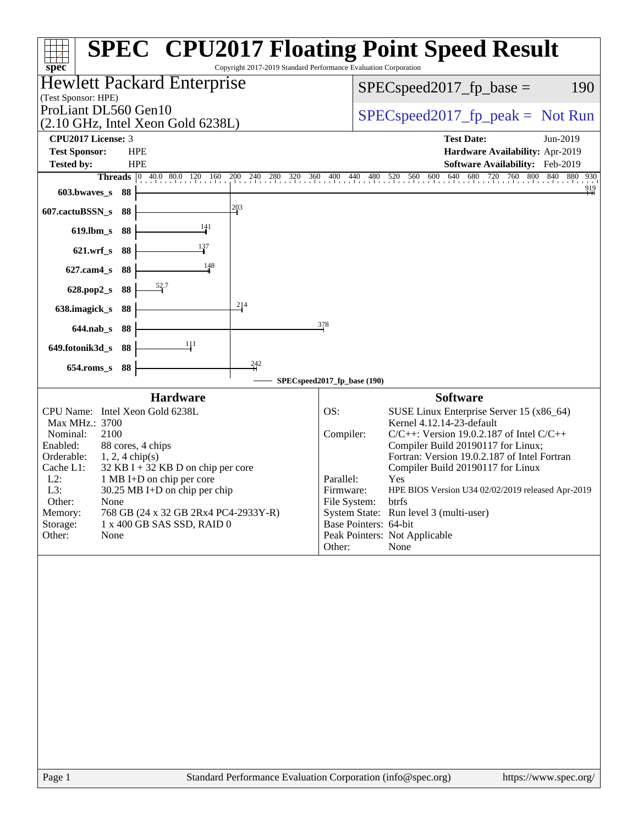| ┯┽╅<br>Copyright 2017-2019 Standard Performance Evaluation Corporation                                                                                                                                                                                                                                                                                                                                         | <b>SPEC<sup>®</sup> CPU2017 Floating Point Speed Result</b>                                                                                                                                                                                                                                                                                                                                                                                                                                                |
|----------------------------------------------------------------------------------------------------------------------------------------------------------------------------------------------------------------------------------------------------------------------------------------------------------------------------------------------------------------------------------------------------------------|------------------------------------------------------------------------------------------------------------------------------------------------------------------------------------------------------------------------------------------------------------------------------------------------------------------------------------------------------------------------------------------------------------------------------------------------------------------------------------------------------------|
| spec <sup>®</sup><br><b>Hewlett Packard Enterprise</b>                                                                                                                                                                                                                                                                                                                                                         | 190                                                                                                                                                                                                                                                                                                                                                                                                                                                                                                        |
| (Test Sponsor: HPE)                                                                                                                                                                                                                                                                                                                                                                                            | $SPEC speed2017_fp\_base =$                                                                                                                                                                                                                                                                                                                                                                                                                                                                                |
| ProLiant DL560 Gen10                                                                                                                                                                                                                                                                                                                                                                                           | $SPEC speed2017rfp peak = Not Run$                                                                                                                                                                                                                                                                                                                                                                                                                                                                         |
| (2.10 GHz, Intel Xeon Gold 6238L)                                                                                                                                                                                                                                                                                                                                                                              |                                                                                                                                                                                                                                                                                                                                                                                                                                                                                                            |
| CPU2017 License: 3                                                                                                                                                                                                                                                                                                                                                                                             | <b>Test Date:</b><br>Jun-2019                                                                                                                                                                                                                                                                                                                                                                                                                                                                              |
| <b>Test Sponsor:</b><br><b>HPE</b><br><b>Tested by:</b><br><b>HPE</b>                                                                                                                                                                                                                                                                                                                                          | Hardware Availability: Apr-2019<br>Software Availability: Feb-2019                                                                                                                                                                                                                                                                                                                                                                                                                                         |
| <b>Threads</b> 0 40.0 80.0 120 160<br>200 240<br>280<br>360<br>320                                                                                                                                                                                                                                                                                                                                             | 480 520 560 600 640 680 720 760 800 840 880 930<br>400 440                                                                                                                                                                                                                                                                                                                                                                                                                                                 |
| 603.bwaves_s<br>-88                                                                                                                                                                                                                                                                                                                                                                                            | $\frac{919}{+1}$                                                                                                                                                                                                                                                                                                                                                                                                                                                                                           |
| $\frac{203}{5}$<br>607.cactuBSSN_s<br>88                                                                                                                                                                                                                                                                                                                                                                       |                                                                                                                                                                                                                                                                                                                                                                                                                                                                                                            |
| $\frac{141}{ }$<br>$619$ .lbm_s<br>88                                                                                                                                                                                                                                                                                                                                                                          |                                                                                                                                                                                                                                                                                                                                                                                                                                                                                                            |
| 137<br>621.wrf_s 88                                                                                                                                                                                                                                                                                                                                                                                            |                                                                                                                                                                                                                                                                                                                                                                                                                                                                                                            |
| 148<br>$627$ .cam $4_s$<br>88                                                                                                                                                                                                                                                                                                                                                                                  |                                                                                                                                                                                                                                                                                                                                                                                                                                                                                                            |
| 88<br>628.pop2_s                                                                                                                                                                                                                                                                                                                                                                                               |                                                                                                                                                                                                                                                                                                                                                                                                                                                                                                            |
| 214<br>638.imagick_s<br>88                                                                                                                                                                                                                                                                                                                                                                                     |                                                                                                                                                                                                                                                                                                                                                                                                                                                                                                            |
| 644.nab_s 88                                                                                                                                                                                                                                                                                                                                                                                                   | 378                                                                                                                                                                                                                                                                                                                                                                                                                                                                                                        |
| 41<br>649.fotonik3d_s 88                                                                                                                                                                                                                                                                                                                                                                                       |                                                                                                                                                                                                                                                                                                                                                                                                                                                                                                            |
| $^{242}_{+1}$<br>$654$ .roms_s<br>88                                                                                                                                                                                                                                                                                                                                                                           |                                                                                                                                                                                                                                                                                                                                                                                                                                                                                                            |
|                                                                                                                                                                                                                                                                                                                                                                                                                | SPECspeed2017_fp_base (190)                                                                                                                                                                                                                                                                                                                                                                                                                                                                                |
| <b>Hardware</b>                                                                                                                                                                                                                                                                                                                                                                                                | <b>Software</b>                                                                                                                                                                                                                                                                                                                                                                                                                                                                                            |
| CPU Name: Intel Xeon Gold 6238L<br>Max MHz.: 3700<br>2100<br>Nominal:<br>88 cores, 4 chips<br>Enabled:<br>Orderable:<br>$1, 2, 4$ chip(s)<br>$32$ KB I + 32 KB D on chip per core<br>Cache L1:<br>$L2$ :<br>1 MB I+D on chip per core<br>L3:<br>30.25 MB I+D on chip per chip<br>Other:<br>None<br>Memory:<br>768 GB (24 x 32 GB 2Rx4 PC4-2933Y-R)<br>Storage:<br>1 x 400 GB SAS SSD, RAID 0<br>None<br>Other: | OS:<br>SUSE Linux Enterprise Server 15 (x86_64)<br>Kernel 4.12.14-23-default<br>Compiler:<br>$C/C++$ : Version 19.0.2.187 of Intel $C/C++$<br>Compiler Build 20190117 for Linux;<br>Fortran: Version 19.0.2.187 of Intel Fortran<br>Compiler Build 20190117 for Linux<br>Parallel:<br>Yes<br>HPE BIOS Version U34 02/02/2019 released Apr-2019<br>Firmware:<br>File System:<br>btrfs<br>System State: Run level 3 (multi-user)<br>Base Pointers: 64-bit<br>Peak Pointers: Not Applicable<br>None<br>Other: |
|                                                                                                                                                                                                                                                                                                                                                                                                                |                                                                                                                                                                                                                                                                                                                                                                                                                                                                                                            |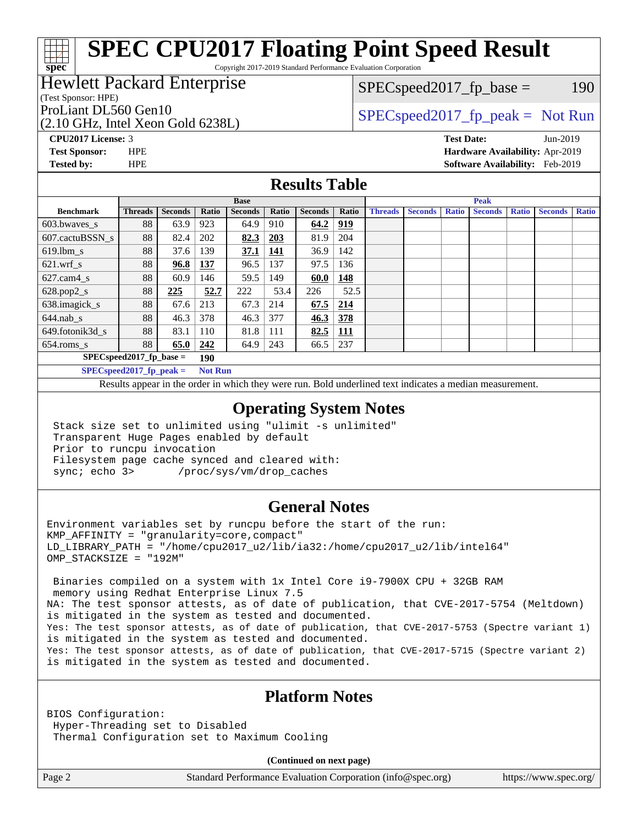Copyright 2017-2019 Standard Performance Evaluation Corporation

### Hewlett Packard Enterprise

#### (Test Sponsor: HPE)

(2.10 GHz, Intel Xeon Gold 6238L)

 $SPEC speed2017_fp\_base = 190$ 

### ProLiant DL560 Gen10  $SPEC speed2017$  fp\_peak = Not Run

**[spec](http://www.spec.org/)**

**[CPU2017 License:](http://www.spec.org/auto/cpu2017/Docs/result-fields.html#CPU2017License)** 3 **[Test Date:](http://www.spec.org/auto/cpu2017/Docs/result-fields.html#TestDate)** Jun-2019 **[Test Sponsor:](http://www.spec.org/auto/cpu2017/Docs/result-fields.html#TestSponsor)** HPE **[Hardware Availability:](http://www.spec.org/auto/cpu2017/Docs/result-fields.html#HardwareAvailability)** Apr-2019 **[Tested by:](http://www.spec.org/auto/cpu2017/Docs/result-fields.html#Testedby)** HPE **[Software Availability:](http://www.spec.org/auto/cpu2017/Docs/result-fields.html#SoftwareAvailability)** Feb-2019

#### **[Results Table](http://www.spec.org/auto/cpu2017/Docs/result-fields.html#ResultsTable)**

|                                    | <b>Base</b>                                   |                |           |                |            | <b>Peak</b>    |            |                |                |              |                |              |                |              |
|------------------------------------|-----------------------------------------------|----------------|-----------|----------------|------------|----------------|------------|----------------|----------------|--------------|----------------|--------------|----------------|--------------|
| <b>Benchmark</b>                   | <b>Threads</b>                                | <b>Seconds</b> | Ratio     | <b>Seconds</b> | Ratio      | <b>Seconds</b> | Ratio      | <b>Threads</b> | <b>Seconds</b> | <b>Ratio</b> | <b>Seconds</b> | <b>Ratio</b> | <b>Seconds</b> | <b>Ratio</b> |
| $603.bwaves$ s                     | 88                                            | 63.9           | 923       | 64.9           | 910        | 64.2           | <u>919</u> |                |                |              |                |              |                |              |
| 607.cactuBSSN s                    | 88                                            | 82.4           | 202       | 82.3           | 203        | 81.9           | 204        |                |                |              |                |              |                |              |
| $619.$ lbm_s                       | 88                                            | 37.6           | 139       | 37.1           | <u>141</u> | 36.9           | 142        |                |                |              |                |              |                |              |
| $621$ .wrf s                       | 88                                            | 96.8           | 137       | 96.5           | 137        | 97.5           | 136        |                |                |              |                |              |                |              |
| $627$ .cam $4 \text{ s}$           | 88                                            | 60.9           | 146       | 59.5           | 149        | 60.0           | 148        |                |                |              |                |              |                |              |
| $628.pop2_s$                       | 88                                            | 225            | 52.7      | 222            | 53.4       | 226            | 52.5       |                |                |              |                |              |                |              |
| 638.imagick_s                      | 88                                            | 67.6           | 213       | 67.3           | 214        | 67.5           | 214        |                |                |              |                |              |                |              |
| $644$ .nab s                       | 88                                            | 46.3           | 378       | 46.3           | 377        | 46.3           | 378        |                |                |              |                |              |                |              |
| 649.fotonik3d s                    | 88                                            | 83.1           | 110       | 81.8           | 111        | 82.5           | <u>111</u> |                |                |              |                |              |                |              |
| $654$ .roms_s                      | 88                                            | 65.0           | 242       | 64.9           | 243        | 66.5           | 237        |                |                |              |                |              |                |              |
| $SPEC speed2017_fp\_base =$<br>190 |                                               |                |           |                |            |                |            |                |                |              |                |              |                |              |
|                                    | $CDFCA_{\text{max}}$ $32017$ for $\text{max}$ |                | Mad Davis |                |            |                |            |                |                |              |                |              |                |              |

**[SPECspeed2017\\_fp\\_peak =](http://www.spec.org/auto/cpu2017/Docs/result-fields.html#SPECspeed2017fppeak) Not Run**

Results appear in the [order in which they were run.](http://www.spec.org/auto/cpu2017/Docs/result-fields.html#RunOrder) Bold underlined text [indicates a median measurement](http://www.spec.org/auto/cpu2017/Docs/result-fields.html#Median).

#### **[Operating System Notes](http://www.spec.org/auto/cpu2017/Docs/result-fields.html#OperatingSystemNotes)**

 Stack size set to unlimited using "ulimit -s unlimited" Transparent Huge Pages enabled by default Prior to runcpu invocation Filesystem page cache synced and cleared with: sync; echo 3> /proc/sys/vm/drop\_caches

#### **[General Notes](http://www.spec.org/auto/cpu2017/Docs/result-fields.html#GeneralNotes)**

Environment variables set by runcpu before the start of the run: KMP\_AFFINITY = "granularity=core,compact" LD\_LIBRARY\_PATH = "/home/cpu2017\_u2/lib/ia32:/home/cpu2017\_u2/lib/intel64" OMP\_STACKSIZE = "192M"

 Binaries compiled on a system with 1x Intel Core i9-7900X CPU + 32GB RAM memory using Redhat Enterprise Linux 7.5 NA: The test sponsor attests, as of date of publication, that CVE-2017-5754 (Meltdown) is mitigated in the system as tested and documented. Yes: The test sponsor attests, as of date of publication, that CVE-2017-5753 (Spectre variant 1) is mitigated in the system as tested and documented. Yes: The test sponsor attests, as of date of publication, that CVE-2017-5715 (Spectre variant 2) is mitigated in the system as tested and documented.

#### **[Platform Notes](http://www.spec.org/auto/cpu2017/Docs/result-fields.html#PlatformNotes)**

BIOS Configuration: Hyper-Threading set to Disabled Thermal Configuration set to Maximum Cooling

**(Continued on next page)**

Page 2 Standard Performance Evaluation Corporation [\(info@spec.org\)](mailto:info@spec.org) <https://www.spec.org/>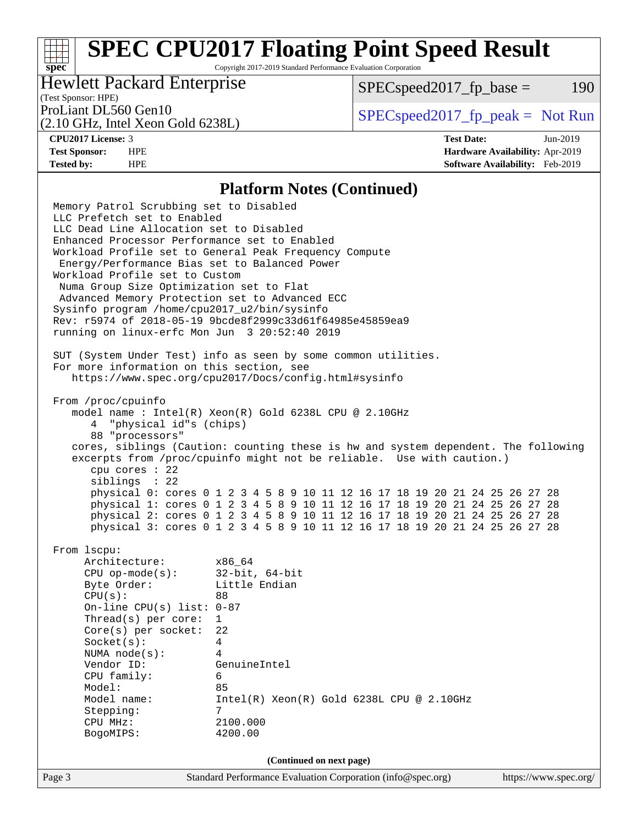Copyright 2017-2019 Standard Performance Evaluation Corporation

### Hewlett Packard Enterprise

 $SPEC speed2017_fp\_base = 190$ 

## (Test Sponsor: HPE)

(2.10 GHz, Intel Xeon Gold 6238L)

ProLiant DL560 Gen10  $SPEC speed2017$  [p\_peak = Not Run

**[spec](http://www.spec.org/)**

**[CPU2017 License:](http://www.spec.org/auto/cpu2017/Docs/result-fields.html#CPU2017License)** 3 **[Test Date:](http://www.spec.org/auto/cpu2017/Docs/result-fields.html#TestDate)** Jun-2019 **[Test Sponsor:](http://www.spec.org/auto/cpu2017/Docs/result-fields.html#TestSponsor)** HPE **[Hardware Availability:](http://www.spec.org/auto/cpu2017/Docs/result-fields.html#HardwareAvailability)** Apr-2019 **[Tested by:](http://www.spec.org/auto/cpu2017/Docs/result-fields.html#Testedby)** HPE **[Software Availability:](http://www.spec.org/auto/cpu2017/Docs/result-fields.html#SoftwareAvailability)** Feb-2019

#### **[Platform Notes \(Continued\)](http://www.spec.org/auto/cpu2017/Docs/result-fields.html#PlatformNotes)**

Page 3 Standard Performance Evaluation Corporation [\(info@spec.org\)](mailto:info@spec.org) <https://www.spec.org/> Memory Patrol Scrubbing set to Disabled LLC Prefetch set to Enabled LLC Dead Line Allocation set to Disabled Enhanced Processor Performance set to Enabled Workload Profile set to General Peak Frequency Compute Energy/Performance Bias set to Balanced Power Workload Profile set to Custom Numa Group Size Optimization set to Flat Advanced Memory Protection set to Advanced ECC Sysinfo program /home/cpu2017\_u2/bin/sysinfo Rev: r5974 of 2018-05-19 9bcde8f2999c33d61f64985e45859ea9 running on linux-erfc Mon Jun 3 20:52:40 2019 SUT (System Under Test) info as seen by some common utilities. For more information on this section, see <https://www.spec.org/cpu2017/Docs/config.html#sysinfo> From /proc/cpuinfo model name : Intel(R) Xeon(R) Gold 6238L CPU @ 2.10GHz 4 "physical id"s (chips) 88 "processors" cores, siblings (Caution: counting these is hw and system dependent. The following excerpts from /proc/cpuinfo might not be reliable. Use with caution.) cpu cores : 22 siblings : 22 physical 0: cores 0 1 2 3 4 5 8 9 10 11 12 16 17 18 19 20 21 24 25 26 27 28 physical 1: cores 0 1 2 3 4 5 8 9 10 11 12 16 17 18 19 20 21 24 25 26 27 28 physical 2: cores 0 1 2 3 4 5 8 9 10 11 12 16 17 18 19 20 21 24 25 26 27 28 physical 3: cores 0 1 2 3 4 5 8 9 10 11 12 16 17 18 19 20 21 24 25 26 27 28 From lscpu: Architecture: x86\_64 CPU op-mode(s): 32-bit, 64-bit Byte Order: Little Endian  $CPU(s):$  88 On-line CPU(s) list: 0-87 Thread(s) per core: 1 Core(s) per socket: 22 Socket(s): 4 NUMA node(s): 4 Vendor ID: GenuineIntel CPU family: 6 Model: 85<br>Model name: 1n  $Intel(R)$  Xeon(R) Gold 6238L CPU @ 2.10GHz Stepping: 7 CPU MHz: 2100.000 BogoMIPS: 4200.00 **(Continued on next page)**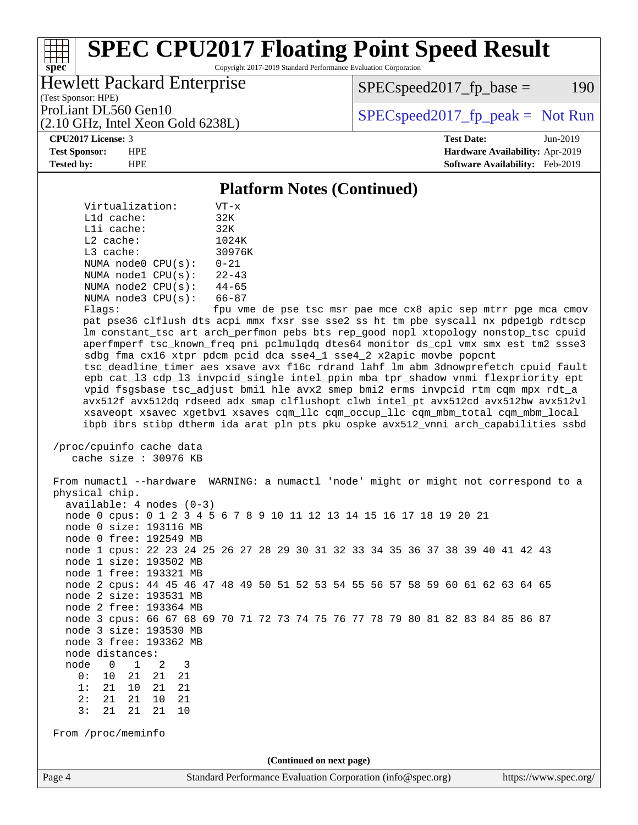Copyright 2017-2019 Standard Performance Evaluation Corporation

### Hewlett Packard Enterprise

(2.10 GHz, Intel Xeon Gold 6238L)

 $SPEC speed2017_fp\_base = 190$ 

(Test Sponsor: HPE)

ProLiant DL560 Gen10  $SPEC speed2017$  [p\_peak = Not Run

#### **[CPU2017 License:](http://www.spec.org/auto/cpu2017/Docs/result-fields.html#CPU2017License)** 3 **[Test Date:](http://www.spec.org/auto/cpu2017/Docs/result-fields.html#TestDate)** Jun-2019

**[spec](http://www.spec.org/)**

**[Test Sponsor:](http://www.spec.org/auto/cpu2017/Docs/result-fields.html#TestSponsor)** HPE **[Hardware Availability:](http://www.spec.org/auto/cpu2017/Docs/result-fields.html#HardwareAvailability)** Apr-2019 **[Tested by:](http://www.spec.org/auto/cpu2017/Docs/result-fields.html#Testedby)** HPE **[Software Availability:](http://www.spec.org/auto/cpu2017/Docs/result-fields.html#SoftwareAvailability)** Feb-2019

#### **[Platform Notes \(Continued\)](http://www.spec.org/auto/cpu2017/Docs/result-fields.html#PlatformNotes)**

 Virtualization: VT-x L1d cache: 32K L1i cache: 32K L2 cache: 1024K L3 cache: 30976K NUMA node0 CPU(s): 0-21 NUMA node1 CPU(s): 22-43 NUMA node2 CPU(s): 44-65 NUMA node3 CPU(s): 66-87

Flags: fpu vme de pse tsc msr pae mce cx8 apic sep mtrr pge mca cmov pat pse36 clflush dts acpi mmx fxsr sse sse2 ss ht tm pbe syscall nx pdpe1gb rdtscp lm constant\_tsc art arch\_perfmon pebs bts rep\_good nopl xtopology nonstop\_tsc cpuid aperfmperf tsc\_known\_freq pni pclmulqdq dtes64 monitor ds\_cpl vmx smx est tm2 ssse3 sdbg fma cx16 xtpr pdcm pcid dca sse4\_1 sse4\_2 x2apic movbe popcnt tsc\_deadline\_timer aes xsave avx f16c rdrand lahf\_lm abm 3dnowprefetch cpuid\_fault epb cat\_l3 cdp\_l3 invpcid\_single intel\_ppin mba tpr\_shadow vnmi flexpriority ept vpid fsgsbase tsc\_adjust bmi1 hle avx2 smep bmi2 erms invpcid rtm cqm mpx rdt\_a avx512f avx512dq rdseed adx smap clflushopt clwb intel\_pt avx512cd avx512bw avx512vl xsaveopt xsavec xgetbv1 xsaves cqm\_llc cqm\_occup\_llc cqm\_mbm\_total cqm\_mbm\_local ibpb ibrs stibp dtherm ida arat pln pts pku ospke avx512\_vnni arch\_capabilities ssbd

 /proc/cpuinfo cache data cache size : 30976 KB

Page 4 Standard Performance Evaluation Corporation [\(info@spec.org\)](mailto:info@spec.org) <https://www.spec.org/> From numactl --hardware WARNING: a numactl 'node' might or might not correspond to a physical chip. available: 4 nodes (0-3) node 0 cpus: 0 1 2 3 4 5 6 7 8 9 10 11 12 13 14 15 16 17 18 19 20 21 node 0 size: 193116 MB node 0 free: 192549 MB node 1 cpus: 22 23 24 25 26 27 28 29 30 31 32 33 34 35 36 37 38 39 40 41 42 43 node 1 size: 193502 MB node 1 free: 193321 MB node 2 cpus: 44 45 46 47 48 49 50 51 52 53 54 55 56 57 58 59 60 61 62 63 64 65 node 2 size: 193531 MB node 2 free: 193364 MB node 3 cpus: 66 67 68 69 70 71 72 73 74 75 76 77 78 79 80 81 82 83 84 85 86 87 node 3 size: 193530 MB node 3 free: 193362 MB node distances: node 0 1 2 3 0: 10 21 21 21 1: 21 10 21 21 2: 21 21 10 21 3: 21 21 21 10 From /proc/meminfo **(Continued on next page)**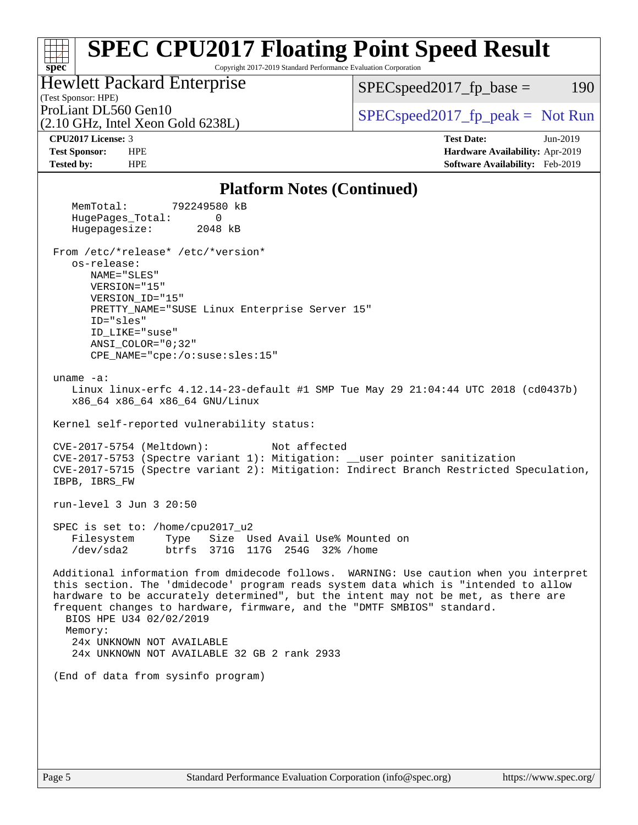#### **[spec](http://www.spec.org/) [SPEC CPU2017 Floating Point Speed Result](http://www.spec.org/auto/cpu2017/Docs/result-fields.html#SPECCPU2017FloatingPointSpeedResult)** Copyright 2017-2019 Standard Performance Evaluation Corporation (Test Sponsor: HPE) Hewlett Packard Enterprise (2.10 GHz, Intel Xeon Gold 6238L) ProLiant DL560 Gen10  $SPEC speed2017$  fp\_peak = Not Run  $SPEC speed2017_fp\_base = 190$ **[CPU2017 License:](http://www.spec.org/auto/cpu2017/Docs/result-fields.html#CPU2017License)** 3 **[Test Date:](http://www.spec.org/auto/cpu2017/Docs/result-fields.html#TestDate)** Jun-2019 **[Test Sponsor:](http://www.spec.org/auto/cpu2017/Docs/result-fields.html#TestSponsor)** HPE **[Hardware Availability:](http://www.spec.org/auto/cpu2017/Docs/result-fields.html#HardwareAvailability)** Apr-2019 **[Tested by:](http://www.spec.org/auto/cpu2017/Docs/result-fields.html#Testedby)** HPE **[Software Availability:](http://www.spec.org/auto/cpu2017/Docs/result-fields.html#SoftwareAvailability)** Feb-2019 **[Platform Notes \(Continued\)](http://www.spec.org/auto/cpu2017/Docs/result-fields.html#PlatformNotes)** MemTotal: 792249580 kB HugePages\_Total: 0 Hugepagesize: 2048 kB From /etc/\*release\* /etc/\*version\* os-release: NAME="SLES" VERSION="15" VERSION\_ID="15" PRETTY\_NAME="SUSE Linux Enterprise Server 15" ID="sles" ID\_LIKE="suse" ANSI\_COLOR="0;32" CPE\_NAME="cpe:/o:suse:sles:15" uname -a: Linux linux-erfc 4.12.14-23-default #1 SMP Tue May 29 21:04:44 UTC 2018 (cd0437b) x86\_64 x86\_64 x86\_64 GNU/Linux Kernel self-reported vulnerability status: CVE-2017-5754 (Meltdown): Not affected CVE-2017-5753 (Spectre variant 1): Mitigation: \_\_user pointer sanitization CVE-2017-5715 (Spectre variant 2): Mitigation: Indirect Branch Restricted Speculation, IBPB, IBRS\_FW run-level 3 Jun 3 20:50 SPEC is set to: /home/cpu2017\_u2 Filesystem Type Size Used Avail Use% Mounted on /dev/sda2 btrfs 371G 117G 254G 32% /home Additional information from dmidecode follows. WARNING: Use caution when you interpret this section. The 'dmidecode' program reads system data which is "intended to allow hardware to be accurately determined", but the intent may not be met, as there are frequent changes to hardware, firmware, and the "DMTF SMBIOS" standard. BIOS HPE U34 02/02/2019 Memory: 24x UNKNOWN NOT AVAILABLE 24x UNKNOWN NOT AVAILABLE 32 GB 2 rank 2933 (End of data from sysinfo program)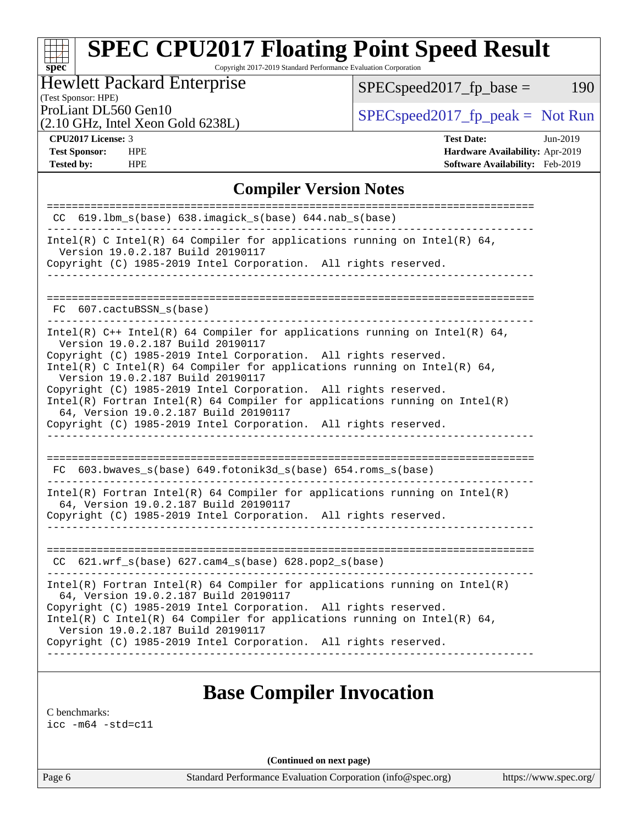Copyright 2017-2019 Standard Performance Evaluation Corporation

### Hewlett Packard Enterprise

 $SPEC speed2017_fp\_base = 190$ 

#### (Test Sponsor: HPE)

(2.10 GHz, Intel Xeon Gold 6238L)

ProLiant DL560 Gen10  $SPEC speed2017$  [p\_peak = Not Run

**[spec](http://www.spec.org/)**

**[Tested by:](http://www.spec.org/auto/cpu2017/Docs/result-fields.html#Testedby)** HPE **[Software Availability:](http://www.spec.org/auto/cpu2017/Docs/result-fields.html#SoftwareAvailability)** Feb-2019

**[CPU2017 License:](http://www.spec.org/auto/cpu2017/Docs/result-fields.html#CPU2017License)** 3 **[Test Date:](http://www.spec.org/auto/cpu2017/Docs/result-fields.html#TestDate)** Jun-2019 **[Test Sponsor:](http://www.spec.org/auto/cpu2017/Docs/result-fields.html#TestSponsor)** HPE **[Hardware Availability:](http://www.spec.org/auto/cpu2017/Docs/result-fields.html#HardwareAvailability)** Apr-2019

#### **[Compiler Version Notes](http://www.spec.org/auto/cpu2017/Docs/result-fields.html#CompilerVersionNotes)**

| $CC$ 619.1bm $s(base)$ 638.imagick $s(base)$ 644.nab $s(base)$<br>_______________________                                                       |
|-------------------------------------------------------------------------------------------------------------------------------------------------|
| Intel(R) C Intel(R) 64 Compiler for applications running on Intel(R) 64,<br>Version 19.0.2.187 Build 20190117                                   |
| Copyright (C) 1985-2019 Intel Corporation. All rights reserved.<br>_____________________________                                                |
|                                                                                                                                                 |
|                                                                                                                                                 |
| FC 607.cactuBSSN s(base)                                                                                                                        |
| Intel(R) $C++$ Intel(R) 64 Compiler for applications running on Intel(R) 64,<br>Version 19.0.2.187 Build 20190117                               |
| Copyright (C) 1985-2019 Intel Corporation. All rights reserved.<br>Intel(R) C Intel(R) 64 Compiler for applications running on Intel(R) 64,     |
| Version 19.0.2.187 Build 20190117                                                                                                               |
| Copyright (C) 1985-2019 Intel Corporation. All rights reserved.<br>$Intel(R)$ Fortran Intel(R) 64 Compiler for applications running on Intel(R) |
| 64, Version 19.0.2.187 Build 20190117                                                                                                           |
| Copyright (C) 1985-2019 Intel Corporation. All rights reserved.                                                                                 |
|                                                                                                                                                 |
| $FC$ 603.bwaves_s(base) 649.fotonik3d_s(base) 654.roms_s(base)                                                                                  |
|                                                                                                                                                 |
| $Intel(R)$ Fortran Intel(R) 64 Compiler for applications running on Intel(R)<br>64, Version 19.0.2.187 Build 20190117                           |
| Copyright (C) 1985-2019 Intel Corporation. All rights reserved.                                                                                 |
|                                                                                                                                                 |
|                                                                                                                                                 |
| $CC$ 621.wrf_s(base) 627.cam4_s(base) 628.pop2_s(base)                                                                                          |
| $Intel(R)$ Fortran Intel(R) 64 Compiler for applications running on Intel(R)<br>64, Version 19.0.2.187 Build 20190117                           |
| Copyright (C) 1985-2019 Intel Corporation. All rights reserved.                                                                                 |
| Intel(R) C Intel(R) 64 Compiler for applications running on Intel(R) 64,<br>Version 19.0.2.187 Build 20190117                                   |
| Copyright (C) 1985-2019 Intel Corporation. All rights reserved.                                                                                 |
|                                                                                                                                                 |
|                                                                                                                                                 |

## **[Base Compiler Invocation](http://www.spec.org/auto/cpu2017/Docs/result-fields.html#BaseCompilerInvocation)**

[C benchmarks](http://www.spec.org/auto/cpu2017/Docs/result-fields.html#Cbenchmarks):

[icc -m64 -std=c11](http://www.spec.org/cpu2017/results/res2019q3/cpu2017-20190625-15681.flags.html#user_CCbase_intel_icc_64bit_c11_33ee0cdaae7deeeab2a9725423ba97205ce30f63b9926c2519791662299b76a0318f32ddfffdc46587804de3178b4f9328c46fa7c2b0cd779d7a61945c91cd35)

**(Continued on next page)**

Page 6 Standard Performance Evaluation Corporation [\(info@spec.org\)](mailto:info@spec.org) <https://www.spec.org/>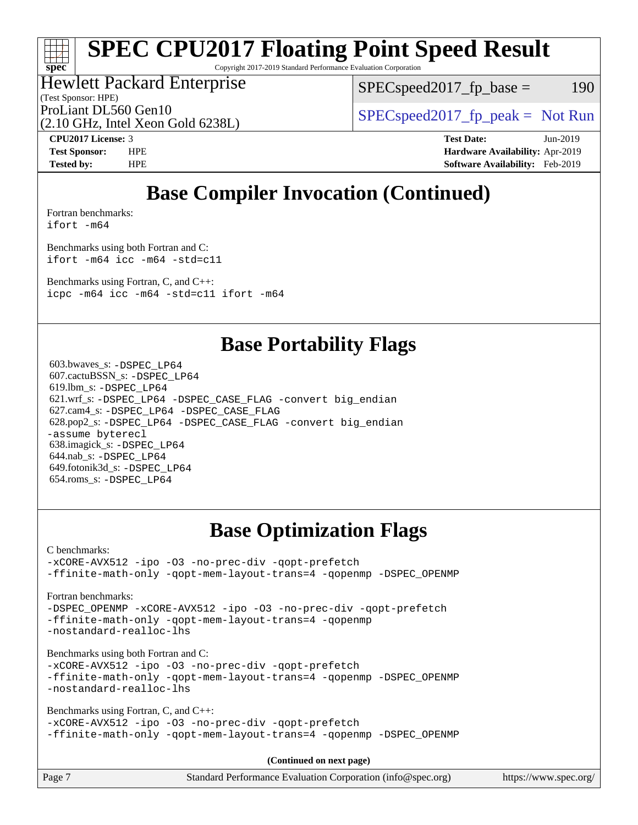Copyright 2017-2019 Standard Performance Evaluation Corporation

### Hewlett Packard Enterprise

(Test Sponsor: HPE)

 $SPEC speed2017_fp\_base = 190$ 

(2.10 GHz, Intel Xeon Gold 6238L)

ProLiant DL560 Gen10  $SPEC speed2017$  [p\_peak = Not Run

**[spec](http://www.spec.org/)**

**[CPU2017 License:](http://www.spec.org/auto/cpu2017/Docs/result-fields.html#CPU2017License)** 3 **[Test Date:](http://www.spec.org/auto/cpu2017/Docs/result-fields.html#TestDate)** Jun-2019 **[Test Sponsor:](http://www.spec.org/auto/cpu2017/Docs/result-fields.html#TestSponsor)** HPE **[Hardware Availability:](http://www.spec.org/auto/cpu2017/Docs/result-fields.html#HardwareAvailability)** Apr-2019 **[Tested by:](http://www.spec.org/auto/cpu2017/Docs/result-fields.html#Testedby)** HPE **[Software Availability:](http://www.spec.org/auto/cpu2017/Docs/result-fields.html#SoftwareAvailability)** Feb-2019

# **[Base Compiler Invocation \(Continued\)](http://www.spec.org/auto/cpu2017/Docs/result-fields.html#BaseCompilerInvocation)**

[Fortran benchmarks](http://www.spec.org/auto/cpu2017/Docs/result-fields.html#Fortranbenchmarks):

[ifort -m64](http://www.spec.org/cpu2017/results/res2019q3/cpu2017-20190625-15681.flags.html#user_FCbase_intel_ifort_64bit_24f2bb282fbaeffd6157abe4f878425411749daecae9a33200eee2bee2fe76f3b89351d69a8130dd5949958ce389cf37ff59a95e7a40d588e8d3a57e0c3fd751)

[Benchmarks using both Fortran and C](http://www.spec.org/auto/cpu2017/Docs/result-fields.html#BenchmarksusingbothFortranandC): [ifort -m64](http://www.spec.org/cpu2017/results/res2019q3/cpu2017-20190625-15681.flags.html#user_CC_FCbase_intel_ifort_64bit_24f2bb282fbaeffd6157abe4f878425411749daecae9a33200eee2bee2fe76f3b89351d69a8130dd5949958ce389cf37ff59a95e7a40d588e8d3a57e0c3fd751) [icc -m64 -std=c11](http://www.spec.org/cpu2017/results/res2019q3/cpu2017-20190625-15681.flags.html#user_CC_FCbase_intel_icc_64bit_c11_33ee0cdaae7deeeab2a9725423ba97205ce30f63b9926c2519791662299b76a0318f32ddfffdc46587804de3178b4f9328c46fa7c2b0cd779d7a61945c91cd35)

[Benchmarks using Fortran, C, and C++:](http://www.spec.org/auto/cpu2017/Docs/result-fields.html#BenchmarksusingFortranCandCXX) [icpc -m64](http://www.spec.org/cpu2017/results/res2019q3/cpu2017-20190625-15681.flags.html#user_CC_CXX_FCbase_intel_icpc_64bit_4ecb2543ae3f1412ef961e0650ca070fec7b7afdcd6ed48761b84423119d1bf6bdf5cad15b44d48e7256388bc77273b966e5eb805aefd121eb22e9299b2ec9d9) [icc -m64 -std=c11](http://www.spec.org/cpu2017/results/res2019q3/cpu2017-20190625-15681.flags.html#user_CC_CXX_FCbase_intel_icc_64bit_c11_33ee0cdaae7deeeab2a9725423ba97205ce30f63b9926c2519791662299b76a0318f32ddfffdc46587804de3178b4f9328c46fa7c2b0cd779d7a61945c91cd35) [ifort -m64](http://www.spec.org/cpu2017/results/res2019q3/cpu2017-20190625-15681.flags.html#user_CC_CXX_FCbase_intel_ifort_64bit_24f2bb282fbaeffd6157abe4f878425411749daecae9a33200eee2bee2fe76f3b89351d69a8130dd5949958ce389cf37ff59a95e7a40d588e8d3a57e0c3fd751)

## **[Base Portability Flags](http://www.spec.org/auto/cpu2017/Docs/result-fields.html#BasePortabilityFlags)**

 603.bwaves\_s: [-DSPEC\\_LP64](http://www.spec.org/cpu2017/results/res2019q3/cpu2017-20190625-15681.flags.html#suite_basePORTABILITY603_bwaves_s_DSPEC_LP64) 607.cactuBSSN\_s: [-DSPEC\\_LP64](http://www.spec.org/cpu2017/results/res2019q3/cpu2017-20190625-15681.flags.html#suite_basePORTABILITY607_cactuBSSN_s_DSPEC_LP64) 619.lbm\_s: [-DSPEC\\_LP64](http://www.spec.org/cpu2017/results/res2019q3/cpu2017-20190625-15681.flags.html#suite_basePORTABILITY619_lbm_s_DSPEC_LP64) 621.wrf\_s: [-DSPEC\\_LP64](http://www.spec.org/cpu2017/results/res2019q3/cpu2017-20190625-15681.flags.html#suite_basePORTABILITY621_wrf_s_DSPEC_LP64) [-DSPEC\\_CASE\\_FLAG](http://www.spec.org/cpu2017/results/res2019q3/cpu2017-20190625-15681.flags.html#b621.wrf_s_baseCPORTABILITY_DSPEC_CASE_FLAG) [-convert big\\_endian](http://www.spec.org/cpu2017/results/res2019q3/cpu2017-20190625-15681.flags.html#user_baseFPORTABILITY621_wrf_s_convert_big_endian_c3194028bc08c63ac5d04de18c48ce6d347e4e562e8892b8bdbdc0214820426deb8554edfa529a3fb25a586e65a3d812c835984020483e7e73212c4d31a38223) 627.cam4\_s: [-DSPEC\\_LP64](http://www.spec.org/cpu2017/results/res2019q3/cpu2017-20190625-15681.flags.html#suite_basePORTABILITY627_cam4_s_DSPEC_LP64) [-DSPEC\\_CASE\\_FLAG](http://www.spec.org/cpu2017/results/res2019q3/cpu2017-20190625-15681.flags.html#b627.cam4_s_baseCPORTABILITY_DSPEC_CASE_FLAG) 628.pop2\_s: [-DSPEC\\_LP64](http://www.spec.org/cpu2017/results/res2019q3/cpu2017-20190625-15681.flags.html#suite_basePORTABILITY628_pop2_s_DSPEC_LP64) [-DSPEC\\_CASE\\_FLAG](http://www.spec.org/cpu2017/results/res2019q3/cpu2017-20190625-15681.flags.html#b628.pop2_s_baseCPORTABILITY_DSPEC_CASE_FLAG) [-convert big\\_endian](http://www.spec.org/cpu2017/results/res2019q3/cpu2017-20190625-15681.flags.html#user_baseFPORTABILITY628_pop2_s_convert_big_endian_c3194028bc08c63ac5d04de18c48ce6d347e4e562e8892b8bdbdc0214820426deb8554edfa529a3fb25a586e65a3d812c835984020483e7e73212c4d31a38223) [-assume byterecl](http://www.spec.org/cpu2017/results/res2019q3/cpu2017-20190625-15681.flags.html#user_baseFPORTABILITY628_pop2_s_assume_byterecl_7e47d18b9513cf18525430bbf0f2177aa9bf368bc7a059c09b2c06a34b53bd3447c950d3f8d6c70e3faf3a05c8557d66a5798b567902e8849adc142926523472) 638.imagick\_s: [-DSPEC\\_LP64](http://www.spec.org/cpu2017/results/res2019q3/cpu2017-20190625-15681.flags.html#suite_basePORTABILITY638_imagick_s_DSPEC_LP64) 644.nab\_s: [-DSPEC\\_LP64](http://www.spec.org/cpu2017/results/res2019q3/cpu2017-20190625-15681.flags.html#suite_basePORTABILITY644_nab_s_DSPEC_LP64) 649.fotonik3d\_s: [-DSPEC\\_LP64](http://www.spec.org/cpu2017/results/res2019q3/cpu2017-20190625-15681.flags.html#suite_basePORTABILITY649_fotonik3d_s_DSPEC_LP64) 654.roms\_s: [-DSPEC\\_LP64](http://www.spec.org/cpu2017/results/res2019q3/cpu2017-20190625-15681.flags.html#suite_basePORTABILITY654_roms_s_DSPEC_LP64)

# **[Base Optimization Flags](http://www.spec.org/auto/cpu2017/Docs/result-fields.html#BaseOptimizationFlags)**

[C benchmarks](http://www.spec.org/auto/cpu2017/Docs/result-fields.html#Cbenchmarks):

[-xCORE-AVX512](http://www.spec.org/cpu2017/results/res2019q3/cpu2017-20190625-15681.flags.html#user_CCbase_f-xCORE-AVX512) [-ipo](http://www.spec.org/cpu2017/results/res2019q3/cpu2017-20190625-15681.flags.html#user_CCbase_f-ipo) [-O3](http://www.spec.org/cpu2017/results/res2019q3/cpu2017-20190625-15681.flags.html#user_CCbase_f-O3) [-no-prec-div](http://www.spec.org/cpu2017/results/res2019q3/cpu2017-20190625-15681.flags.html#user_CCbase_f-no-prec-div) [-qopt-prefetch](http://www.spec.org/cpu2017/results/res2019q3/cpu2017-20190625-15681.flags.html#user_CCbase_f-qopt-prefetch) [-ffinite-math-only](http://www.spec.org/cpu2017/results/res2019q3/cpu2017-20190625-15681.flags.html#user_CCbase_f_finite_math_only_cb91587bd2077682c4b38af759c288ed7c732db004271a9512da14a4f8007909a5f1427ecbf1a0fb78ff2a814402c6114ac565ca162485bbcae155b5e4258871) [-qopt-mem-layout-trans=4](http://www.spec.org/cpu2017/results/res2019q3/cpu2017-20190625-15681.flags.html#user_CCbase_f-qopt-mem-layout-trans_fa39e755916c150a61361b7846f310bcdf6f04e385ef281cadf3647acec3f0ae266d1a1d22d972a7087a248fd4e6ca390a3634700869573d231a252c784941a8) [-qopenmp](http://www.spec.org/cpu2017/results/res2019q3/cpu2017-20190625-15681.flags.html#user_CCbase_qopenmp_16be0c44f24f464004c6784a7acb94aca937f053568ce72f94b139a11c7c168634a55f6653758ddd83bcf7b8463e8028bb0b48b77bcddc6b78d5d95bb1df2967) [-DSPEC\\_OPENMP](http://www.spec.org/cpu2017/results/res2019q3/cpu2017-20190625-15681.flags.html#suite_CCbase_DSPEC_OPENMP)

[Fortran benchmarks](http://www.spec.org/auto/cpu2017/Docs/result-fields.html#Fortranbenchmarks):

[-DSPEC\\_OPENMP](http://www.spec.org/cpu2017/results/res2019q3/cpu2017-20190625-15681.flags.html#suite_FCbase_DSPEC_OPENMP) [-xCORE-AVX512](http://www.spec.org/cpu2017/results/res2019q3/cpu2017-20190625-15681.flags.html#user_FCbase_f-xCORE-AVX512) [-ipo](http://www.spec.org/cpu2017/results/res2019q3/cpu2017-20190625-15681.flags.html#user_FCbase_f-ipo) [-O3](http://www.spec.org/cpu2017/results/res2019q3/cpu2017-20190625-15681.flags.html#user_FCbase_f-O3) [-no-prec-div](http://www.spec.org/cpu2017/results/res2019q3/cpu2017-20190625-15681.flags.html#user_FCbase_f-no-prec-div) [-qopt-prefetch](http://www.spec.org/cpu2017/results/res2019q3/cpu2017-20190625-15681.flags.html#user_FCbase_f-qopt-prefetch) [-ffinite-math-only](http://www.spec.org/cpu2017/results/res2019q3/cpu2017-20190625-15681.flags.html#user_FCbase_f_finite_math_only_cb91587bd2077682c4b38af759c288ed7c732db004271a9512da14a4f8007909a5f1427ecbf1a0fb78ff2a814402c6114ac565ca162485bbcae155b5e4258871) [-qopt-mem-layout-trans=4](http://www.spec.org/cpu2017/results/res2019q3/cpu2017-20190625-15681.flags.html#user_FCbase_f-qopt-mem-layout-trans_fa39e755916c150a61361b7846f310bcdf6f04e385ef281cadf3647acec3f0ae266d1a1d22d972a7087a248fd4e6ca390a3634700869573d231a252c784941a8) [-qopenmp](http://www.spec.org/cpu2017/results/res2019q3/cpu2017-20190625-15681.flags.html#user_FCbase_qopenmp_16be0c44f24f464004c6784a7acb94aca937f053568ce72f94b139a11c7c168634a55f6653758ddd83bcf7b8463e8028bb0b48b77bcddc6b78d5d95bb1df2967) [-nostandard-realloc-lhs](http://www.spec.org/cpu2017/results/res2019q3/cpu2017-20190625-15681.flags.html#user_FCbase_f_2003_std_realloc_82b4557e90729c0f113870c07e44d33d6f5a304b4f63d4c15d2d0f1fab99f5daaed73bdb9275d9ae411527f28b936061aa8b9c8f2d63842963b95c9dd6426b8a)

[Benchmarks using both Fortran and C](http://www.spec.org/auto/cpu2017/Docs/result-fields.html#BenchmarksusingbothFortranandC):

[-xCORE-AVX512](http://www.spec.org/cpu2017/results/res2019q3/cpu2017-20190625-15681.flags.html#user_CC_FCbase_f-xCORE-AVX512) [-ipo](http://www.spec.org/cpu2017/results/res2019q3/cpu2017-20190625-15681.flags.html#user_CC_FCbase_f-ipo) [-O3](http://www.spec.org/cpu2017/results/res2019q3/cpu2017-20190625-15681.flags.html#user_CC_FCbase_f-O3) [-no-prec-div](http://www.spec.org/cpu2017/results/res2019q3/cpu2017-20190625-15681.flags.html#user_CC_FCbase_f-no-prec-div) [-qopt-prefetch](http://www.spec.org/cpu2017/results/res2019q3/cpu2017-20190625-15681.flags.html#user_CC_FCbase_f-qopt-prefetch) [-ffinite-math-only](http://www.spec.org/cpu2017/results/res2019q3/cpu2017-20190625-15681.flags.html#user_CC_FCbase_f_finite_math_only_cb91587bd2077682c4b38af759c288ed7c732db004271a9512da14a4f8007909a5f1427ecbf1a0fb78ff2a814402c6114ac565ca162485bbcae155b5e4258871) [-qopt-mem-layout-trans=4](http://www.spec.org/cpu2017/results/res2019q3/cpu2017-20190625-15681.flags.html#user_CC_FCbase_f-qopt-mem-layout-trans_fa39e755916c150a61361b7846f310bcdf6f04e385ef281cadf3647acec3f0ae266d1a1d22d972a7087a248fd4e6ca390a3634700869573d231a252c784941a8) [-qopenmp](http://www.spec.org/cpu2017/results/res2019q3/cpu2017-20190625-15681.flags.html#user_CC_FCbase_qopenmp_16be0c44f24f464004c6784a7acb94aca937f053568ce72f94b139a11c7c168634a55f6653758ddd83bcf7b8463e8028bb0b48b77bcddc6b78d5d95bb1df2967) [-DSPEC\\_OPENMP](http://www.spec.org/cpu2017/results/res2019q3/cpu2017-20190625-15681.flags.html#suite_CC_FCbase_DSPEC_OPENMP) [-nostandard-realloc-lhs](http://www.spec.org/cpu2017/results/res2019q3/cpu2017-20190625-15681.flags.html#user_CC_FCbase_f_2003_std_realloc_82b4557e90729c0f113870c07e44d33d6f5a304b4f63d4c15d2d0f1fab99f5daaed73bdb9275d9ae411527f28b936061aa8b9c8f2d63842963b95c9dd6426b8a)

[Benchmarks using Fortran, C, and C++:](http://www.spec.org/auto/cpu2017/Docs/result-fields.html#BenchmarksusingFortranCandCXX)

[-xCORE-AVX512](http://www.spec.org/cpu2017/results/res2019q3/cpu2017-20190625-15681.flags.html#user_CC_CXX_FCbase_f-xCORE-AVX512) [-ipo](http://www.spec.org/cpu2017/results/res2019q3/cpu2017-20190625-15681.flags.html#user_CC_CXX_FCbase_f-ipo) [-O3](http://www.spec.org/cpu2017/results/res2019q3/cpu2017-20190625-15681.flags.html#user_CC_CXX_FCbase_f-O3) [-no-prec-div](http://www.spec.org/cpu2017/results/res2019q3/cpu2017-20190625-15681.flags.html#user_CC_CXX_FCbase_f-no-prec-div) [-qopt-prefetch](http://www.spec.org/cpu2017/results/res2019q3/cpu2017-20190625-15681.flags.html#user_CC_CXX_FCbase_f-qopt-prefetch) [-ffinite-math-only](http://www.spec.org/cpu2017/results/res2019q3/cpu2017-20190625-15681.flags.html#user_CC_CXX_FCbase_f_finite_math_only_cb91587bd2077682c4b38af759c288ed7c732db004271a9512da14a4f8007909a5f1427ecbf1a0fb78ff2a814402c6114ac565ca162485bbcae155b5e4258871) [-qopt-mem-layout-trans=4](http://www.spec.org/cpu2017/results/res2019q3/cpu2017-20190625-15681.flags.html#user_CC_CXX_FCbase_f-qopt-mem-layout-trans_fa39e755916c150a61361b7846f310bcdf6f04e385ef281cadf3647acec3f0ae266d1a1d22d972a7087a248fd4e6ca390a3634700869573d231a252c784941a8) [-qopenmp](http://www.spec.org/cpu2017/results/res2019q3/cpu2017-20190625-15681.flags.html#user_CC_CXX_FCbase_qopenmp_16be0c44f24f464004c6784a7acb94aca937f053568ce72f94b139a11c7c168634a55f6653758ddd83bcf7b8463e8028bb0b48b77bcddc6b78d5d95bb1df2967) [-DSPEC\\_OPENMP](http://www.spec.org/cpu2017/results/res2019q3/cpu2017-20190625-15681.flags.html#suite_CC_CXX_FCbase_DSPEC_OPENMP)

**(Continued on next page)**

| Page 7 | Standard Performance Evaluation Corporation (info@spec.org) | https://www.spec.org/ |
|--------|-------------------------------------------------------------|-----------------------|
|        |                                                             |                       |